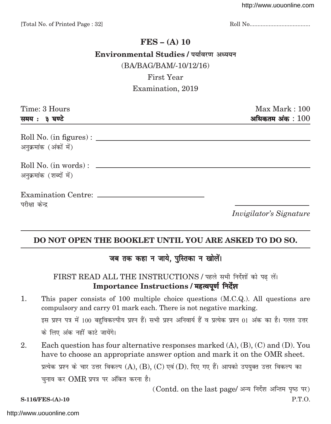# **FES – (A) 10** Environmental Studies / पर्यावरण अध्ययन (BA/BAG/BAM/-10/12/16) First Year

# Examination, 2019

| Time: 3 Hours           | Max Mark: 100                  |
|-------------------------|--------------------------------|
| समय: ३ घण्टे            | अधिकतम अंक $:100$              |
| अनुक्रमांक (अंकों में)  |                                |
| अनुक्रमांक (शब्दों में) |                                |
| परीक्षा केन्द्र         |                                |
|                         | <i>Invigilator's Signature</i> |

# **DO NOT OPEN THE BOOKLET UNTIL YOU ARE ASKED TO DO SO.**

# जब तक कहा न जाये, पुस्तिका न खोलें।

## FIRST READ ALL THE INSTRUCTIONS / पहले सभी निर्देशों को पढ़ लें। Importance Instructions / महत्वपूर्ण निर्देश

- 1. This paper consists of 100 multiple choice questions (M.C.Q.). All questions are compulsory and carry 01 mark each. There is not negative marking. इस प्रश्न पत्र में 100 बहुविकल्पीय प्रश्न हैं। सभी प्रश्न अनिवार्य हैं व प्रत्येक प्रश्न 01 अंक का है। गलत उत्तर के लिए अंक नहीं काटे जायेंगे।
- 2. Each question has four alternative responses marked (A), (B), (C) and (D). You have to choose an appropriate answer option and mark it on the OMR sheet. प्रत्येक प्रश्न के चार उत्तर विकल्प  $(A)$ ,  $(B)$ ,  $(C)$  एवं  $(D)$ . दिए गए हैं। आपको उपयुक्त उत्तर विकल्प का चुनाव कर  $\rm OMR$  प्रपत्र पर अंकित करना है।

 $(Cond. on the last page/3777)$  निर्देश अन्तिम पृष्ठ पर)

**S-116/FES-(A)-10** P.T.O.

#### <http://www.uouonline.com>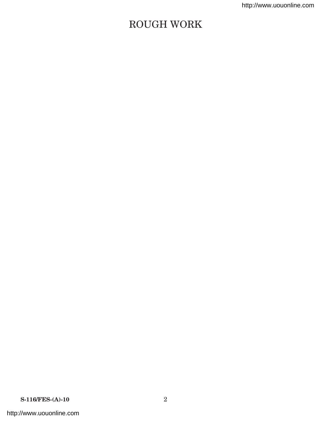# ROUGH WORK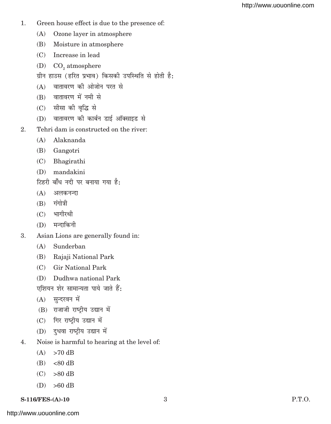- 1. Green house effect is due to the presence of:
	- (A) Ozone layer in atmosphere
	- (B) Moisture in atmosphere
	- (C) Increase in lead
	- (D)  $CO<sub>2</sub>$  atmosphere
	- ग्रीन हाउस (हरित प्रभाव) किसकी उपस्थिति से होती है:
	- $(A)$  वातावरण की ओजोन परत से
	- $(B)$  वातावरण में नमी से
	- (C) सीसा की वृद्धि से
	- (D) वातावरण की कार्बन डाई ऑक्साइड से
- 2. Tehri dam is constructed on the river:
	- (A) Alaknanda
	- (B) Gangotri
	- (C) Bhagirathi
	- (D) mandakini
	- टिहरी बाँध नदी पर बनाया गया है:
	- $(A)$  अलकनन्दा
	- $(B)$  गंगोत्री
	- $(C)$  भागीरथी
	- $(D)$  मन्दाकिनी
- 3. Asian Lions are generally found in:
	- (A) Sunderban
	- (B) Rajaji National Park
	- (C) Gir National Park
	- (D) Dudhwa national Park

एशियन शेर सामान्यता पाये जाते हैं:

- $(A)$  सुन्दरवन में
- (B) राजाजी राष्ट्रीय उद्यान में
- $(C)$  गिर राष्ट्रीय उद्यान में
- (D) दुधवा राष्ट्रीय उद्यान में
- 4. Noise is harmful to hearing at the level of:
	- $(A)$  >70 dB
	- $(B) < 80$  dB
	- $(C)$  >80 dB
	- $(D) >60$  dB

## **S-116/FES-(A)-10** 3 **P.T.O.**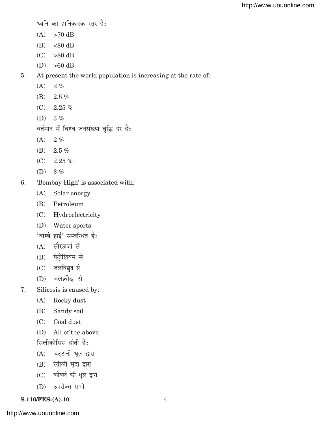$\varepsilon$ व्वनि का हानिकारक स्तर है:

- $(A)$  >70 dB
- $(B) < 80$  dB
- $(C)$  >80 dB
- $(D) >60$  dB

5. At present the world population is increasing at the rate of:

- $(A)$  2%
- (B) 2.5 %
- $(C)$  2.25 %
- $(D)$  3 %

वर्तमान में विश्व जनसंख्या वृद्धि दर है:

- $(A) 2 \%$
- (B)  $2.5\%$
- $(C)$  2.25 %
- (D) 3 %
- 6. 'Bombay High' is associated with:
	- (A) Solar energy
	- (B) Petroleum
	- (C) Hydroelectricity
	- (D) Water sports

 $^{\prime}$ बाम्बे हाई $^{\prime}$  सम्बन्धित है:

- $(A)$  सौरऊर्जा से
- (B) पेट्रोलियम से
- $(C)$  जलविद्युत से
- $(D)$  जलक्रीडा से
- 7. Silicosis is caused by:
	- (A) Rocky dust
	- (B) Sandy soil
	- (C) Coal dust
	- (D) All of the above सिलीकोसिस होती है:
	- $(A)$  चट्टानी धूल द्वारा
	- $(B)$  रेतीली मृदा द्वारा
	- (C) कोयले की धूल द्वारा
	- (D) उपरोक्त सभी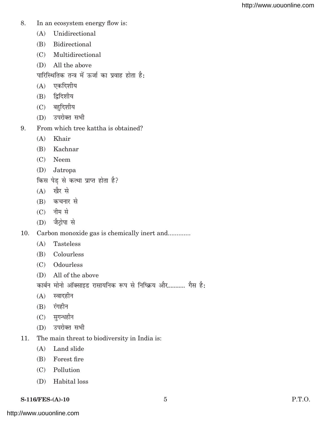- 8. In an ecosystem energy flow is:
	- (A) Unidirectional
	- (B) Bidirectional
	- (C) Multidirectional
	- (D) All the above
	- पारिस्थितिक तन्त्र में ऊर्जा का प्रवाह होता है:
	- $(A)$  एकदिशीय
	- $(B)$  द्विदिशीय
	- $(C)$  बहुदिशीय
	- $(D)$  उपरोक्त सभी
- 9. From which tree kattha is obtained?
	- (A) Khair
	- (B) Kachnar
	- (C) Neem
	- (D) Jatropa

किस पेड़ से कत्था प्राप्त होता है?

- $(A)$  खैर से
- $(B)$  कचनार से
- $(C)$  नीम से
- $(D)$  जैट्रोपा से

10. Carbon monoxide gas is chemically inert and.............

- (A) Tasteless
- (B) Colourless
- (C) Odourless
- (D) All of the above

कार्बन मोनो ऑक्साइड रासायनिक रूप से निष्क्रिय और........... गैस है:

- $(A)$  स्वादहीन
- $(B)$  रंगहीन
- $(C)$  सुगन्धहीन
- $(D)$  उपरोक्त सभी
- 11. The main threat to biodiversity in India is:
	- (A) Land slide
	- (B) Forest fire
	- (C) Pollution
	- (D) Habital loss
- **S-116/FES-(A)-10** 5 **P.T.O.**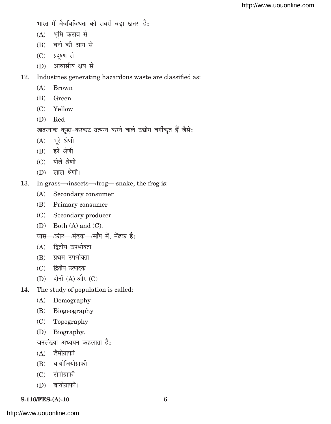भारत में जैवविविधता को सबसे बड़ा खतरा है:

- $(A)$  भूमि कटाव से
- $(B)$  वनों की आग से
- (C) प्रदूषण से
- $(D)$  आवासीय क्षय से

12. Industries generating hazardous waste are classified as:

- (A) Brown
- (B) Green
- (C) Yellow
- (D) Red

```
खतरनाक कूड़ा-करकट उत्पन्न करने वाले उद्योग वर्गीकृत हैं जैसे:
```
- $(A)$  भूरे श्रेणी
- $(B)$  हरे श्रेणी
- $(C)$  पीले श्रेणी
- $(D)$  लाल श्रेणी।
- 13. In grass—>insects—>frog—>snake, the frog is:
	- (A) Secondary consumer
	- (B) Primary consumer
	- (C) Secondary producer
	- (D) Both (A) and (C).
	- घास—>कीट—>मेंढक—>सॉॅंप में, मेंढक है:
	- $(A)$  द्वितीय उपभोक्ता
	- (B) प्रथम उपभोक्ता
	- (C) द्वितीय उत्पादक
	- $(D)$  दोनों  $(A)$  और  $(C)$
- 14. The study of population is called:
	- (A) Demography
	- (B) Biogeography
	- (C) Topography
	- (D) Biography.

जनसंख्या अध्ययन कहलाता है:

- $(A)$  दैमोग्राफी
- $(B)$  बायोजियोग्राफी
- $(C)$  टोपोग्राफी
- $(D)$  बायोग्राफी।

#### **S-116/FES-(A)-10** 6

<http://www.uouonline.com>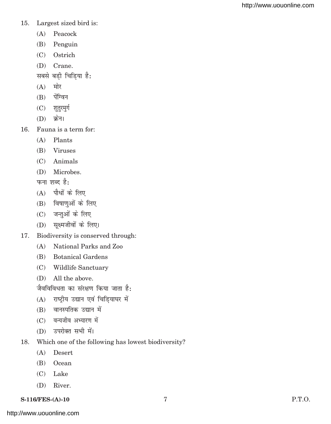#### 15. Largest sized bird is:

- (A) Peacock
- (B) Penguin
- (C) Ostrich
- (D) Crane.
- सबसे बड़ी चिड़िया है:
- $(A)$  मोर
- $(B)$  पेंग्विन
- (C) शुतुरमुर्ग
- $(D)$  क्रेन।
- 16. Fauna is a term for:
	- (A) Plants
	- (B) Viruses
	- (C) Animals
	- (D) Microbes.

फना शब्द है:

- $(A)$  पौधों के लिए
- $(B)$  विषाणुओं के लिए
- $(C)$  जन्तुओं के लिए
- (D) सूक्ष्मजीवों के लिए।
- 17. Biodiversity is conserved through:
	- (A) National Parks and Zoo
	- (B) Botanical Gardens
	- (C) Wildlife Sanctuary
	- (D) All the above.

जैवविविधता का संरक्षण किया जाता है:

- $(A)$  राष्ट्रीय उद्यान एवं चिडियाघर में
- $(B)$  वानस्पतिक उद्यान में
- (C) वन्यजीव अभ्यारण में
- (D) उपरोक्त सभी में।
- 18. Which one of the following has lowest biodiversity?
	- (A) Desert
	- (B) Ocean
	- (C) Lake
	- (D) River.

## **S-116/FES-(A)-10** 7 **P.T.O.**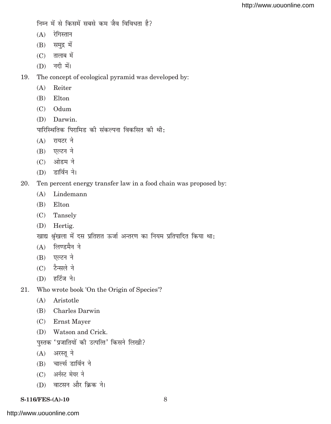निम्न में से किसमें सबसे कम जैव विविधता है?

- $(A)$  रेगिस्तान
- $(B)$  समुद्र में
- $(C)$  तालाब में
- $(D)$  नदी में।

19. The concept of ecological pyramid was developed by:

- (A) Reiter
- (B) Elton
- (C) Odum
- (D) Darwin.

पारिस्थितिक पिरामिड की संकल्पना विकसित की थी:

- $(A)$  रायटर ने
- $(B)$  एल्टन ने
- $(C)$  ओडम ने
- $(D)$  डार्विन ने।
- 20. Ten percent energy transfer law in a food chain was proposed by:
	- (A) Lindemann
	- (B) Elton
	- (C) Tansely
	- (D) Hertig.

खाद्य श्रृंखला में दस प्रतिशत ऊर्जा अन्तरण का नियम प्रतिपादित किया था:

- $(A)$  लिण्डमैन ने
- $(B)$  एल्टन ने
- $(C)$  टैन्सले ने
- $(D)$  हर्टिज ने।
- 21. Who wrote book 'On the Origin of Species'?
	- (A) Aristotle
	- (B) Charles Darwin
	- (C) Ernst Mayer
	- (D) Watson and Crick.
	- पुस्तक 'प्रजातियों की उत्पत्ति' किसने लिखी?
	- $(A)$  अरस्तु ने
	- $(B)$  चार्ल्स डार्विन ने
	- (C) अर्नस्ट मेयर ने
	- (D) वाटसन और क्रिक ने।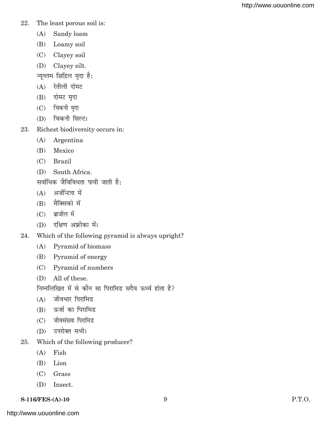- 22. The least porous soil is:
	- (A) Sandy loam
	- (B) Loamy soil
	- (C) Clayey soil
	- (D) Clayey silt.
	- न्यूनतम छिद्रिल मृदा है:
	- $(A)$  रेतीली दोमट
	- $(B)$  दोमट मृदा
	- $(C)$  विकनी मृदा
	- (D) चिकनी सिल्ट।
- 23. Richest biodiversity occurs in:
	- (A) Argentina
	- (B) Mexico
	- (C) Brazil
	- (D) South Africa.

सर्वाधिक जैविविधता पायी जाती है:

- $(A)$  अर्जन्टिना में
- $(B)$  मैक्सिको में
- $(C)$  ब्राजील में
- $(D)$  दक्षिण अफ्रीका में।
- 24. Which of the following pyramid is always upright?
	- (A) Pyramid of biomass
	- (B) Pyramid of energy
	- (C) Pyramid of numbers
	- (D) All of these.

निम्नलिखित में से कौन सा पिरामिड सदैव ऊर्ध्व होता है?

- $(A)$  जीवभार पिरामिड
- $(B)$  ऊर्जा का पिरामिड
- (C) जीवसंख्या पिरामिड
- (D) उपरोक्त सभी।
- 25. Which of the following producer?
	- (A) Fish
	- (B) Lion
	- (C) Grass
	- (D) Insect.

## **S-116/FES-(A)-10** 9 P.T.O.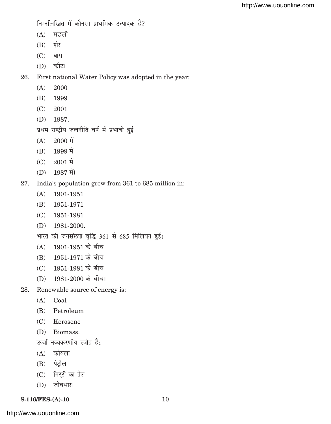निम्नलिखित में कौनसा प्राथमिक उत्पादक है?

- $(A)$  मछली
- $(B)$  शेर
- $(C)$  घास
- $(D)$  कौट।

26. First national Water Policy was adopted in the year:

- (A) 2000
- (B) 1999
- (C) 2001
- (D) 1987.

प्रथम राष्ट्रीय जलनीति वर्ष में प्रभावी हुई

- $(A)$  2000 में
- $(B)$  1999 में
- $(C)$  2001 में
- $(D)$  1987 में।
- 27. India's population grew from 361 to 685 million in:
	- (A) 1901-1951
	- (B) 1951-1971
	- (C) 1951-1981
	- (D) 1981-2000.

भारत की जनसंख्या वृद्धि 361 से 685 मिलियन हुई:

- $(A)$  1901-1951 के बीच
- (B) 1951-1971 के बीच
- $(C)$  1951-1981 के बीच
- $(D)$  1981-2000 के बीच।
- 28. Renewable source of energy is:
	- (A) Coal
	- (B) Petroleum
	- (C) Kerosene
	- (D) Biomass.

ऊर्जा नव्यकरणीय स्त्रोत है:

- $(A)$  कोयला
- $(B)$  पेट्रोल
- $(C)$  मिट्टी का तेल
- (D) जीवभार।

## **S-116/FES-(A)-10** 10

<http://www.uouonline.com>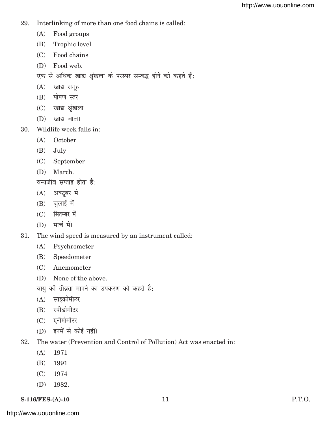- 29. Interlinking of more than one food chains is called:
	- (A) Food groups
	- (B) Trophic level
	- (C) Food chains
	- (D) Food web.
	- एक से अधिक खाद्य श्रृंखला के परस्पर सम्बद्ध होने को कहते हैं:
	- $(A)$  खाद्य समूह
	- (B) पोषण स्तर
	- $(C)$  खाद्य श्रृंखला
	- $(D)$  खाद्य जाल।
- 30. Wildlife week falls in:
	- (A) October
	- (B) July
	- (C) September
	- (D) March.

वन्यजीव सप्ताह होता है:

- $(A)$  अक्टूबर में
- $(B)$  जुलाई में
- $(C)$  सितम्बर में
- $(D)$  मार्च में।
- 31. The wind speed is measured by an instrument called:
	- (A) Psychrometer
	- (B) Speedometer
	- (C) Anemometer
	- (D) None of the above.
	- वायु की तीव्रता मापने का उपकरण को कहते है:
	- $(A)$  साइक्रोमीटर
	- (B) स्पीडोमीटर
	- $(C)$  एनीमोमीटर
	- $(D)$  इनमें से कोई नहीं।
- 32. The water (Prevention and Control of Pollution) Act was enacted in:
	- (A) 1971
	- (B) 1991
	- (C) 1974
	- (D) 1982.

## **S-116/FES-(A)-10** 11 P.T.O.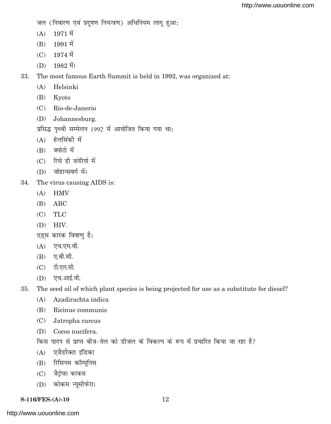जल (निवारण एवं प्रदूषण नियन्त्रण) अधिनियम लागू हुआ:

- $(A)$  1971 में
- $(B)$  1991 में
- $(C)$  1974  $\vec{H}$
- $(D)$  1982 में।

33. The most famous Earth Summit is held in 1992, was organized at:

- (A) Helsinki
- (B) Kyoto
- (C) Rio-de-Janerio
- (D) Johannesburg.

प्रसिद्ध पृथ्वी सम्मेलन 1992 में आयोजित किया गया था:

- $(A)$  हेलसिंकी में
- $(B)$  क्योटो में
- $(C)$  रियो डी जनेरियो में
- $(D)$  जोहान्सबर्ग में।
- 34. The virus causing AIDS is:
	- (A) HMV
	- (B) ABC
	- (C) TLC
	- (D) HIV.
	- एड्स कारक विषाणु है:
	- $(A)$  एच.एम.वी.
	- $(B)$  ए.बी.सी.
	- $(C)$  टी.एल.सी.
	- $(D)$  एच.आई.वी.

35. The seed oil of which plant species is being projected for use as a substitute for diesel?

- (A) Azadirachta indica
- (B) Ricinus communis
- (C) Jatropha curcus
- (D) Cocos nucifera.

किस पादप से प्राप्त बीज-तेल को डीजल के विकल्प के रूप में प्रचारित किया जा रहा है?

- (A) एजैडरैक्टा इंडिका
- (B) रिसिनस कॉम्यूनिस
- (C) जैट्रोफा करकस
- (D) कोकस न्यूसीफेरा।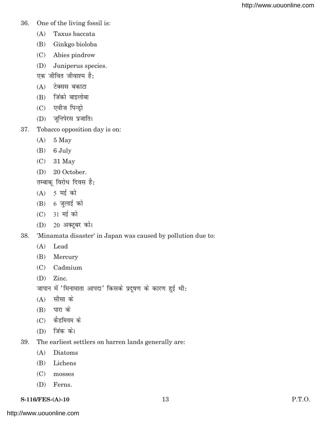- 36. One of the living fossil is:
	- (A) Taxus baccata
	- (B) Ginkgo bioloba
	- (C) Abies pindrow
	- (D) Juniperus species.
	- एक जीवित जीवाश्म है:
	- $(A)$  टेक्सस बकाटा
	- $(B)$  जिंको बाइलोबा
	- $(C)$  एवीज पिन्ड़ो
	- (D) जूनिपेरस प्रजाति।
- 37. Tobacco opposition day is on:
	- (A) 5 May
	- (B) 6 July
	- (C) 31 May
	- (D) 20 October.
	- तम्बाकू विरोध दिवस है:
	- $(A)$  5 मई को
	- $(B)$  6 जुलाई को
	- $(C)$  31 मई को
	- $(D)$  20 अक्टूबर को।
- 38. 'Minamata disaster' in Japan was caused by pollution due to:
	- (A) Lead
	- (B) Mercury
	- (C) Cadmium
	- (D) Zinc.

जापान में 'मिनामाता आपदा' किसके प्रदूषण के कारण हुई थी:

- $(A)$  सीसा के
- $(B)$  पारा के
- $(C)$  कैडमियम के
- $(D)$  जिंक को।
- 39. The earliest settlers on barren lands generally are:
	- (A) Diatoms
	- (B) Lichens
	- (C) mosses
	- (D) Ferns.
- **S-116/FES-(A)-10** 13 P.T.O.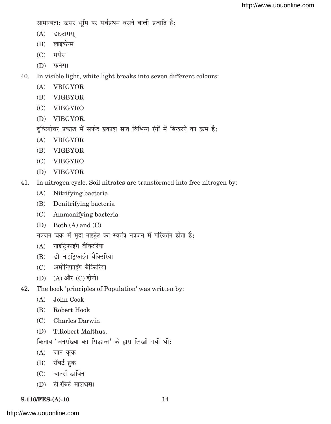सामान्यता: ऊसर भूमि पर सर्वप्रथम बसने वाली प्रजाति है:

- $(A)$  डाइटामस्
- (B) लाइकेन्स
- $(C)$  मसेस
- $(D)$  फर्नस।

40. In visible light, white light breaks into seven different colours:

- (A) VBIGYOR
- (B) VIGBYOR
- (C) VIBGYRO
- (D) VIBGYOR.

दृष्टिगोचर प्रकाश में सफेद प्रकाश सात विभिन्न रंगों में बिखरने का क्रम है:

- (A) VBIGYOR
- (B) VIGBYOR
- (C) VIBGYRO
- (D) VIBGYOR
- 41. In nitrogen cycle. Soil nitrates are transformed into free nitrogen by:
	- (A) Nitrifying bacteria
	- (B) Denitrifying bacteria
	- (C) Ammonifying bacteria
	- (D) Both (A) and (C)

नत्रजन चक्र में मृदा नाइट्रेट का स्वतंत्र नत्रजन में परिवर्तन होता है:

- $(A)$  नाइट्फिाइंग बैक्टिरिया
- (B) डी-नाइटि़फाइंग बैक्टिरिया
- (C) अमोनिफाइंग बैक्टिरिया
- $(D)$   $(A)$  और  $(C)$  दोनों।
- 42. The book 'principles of Population' was written by:
	- (A) John Cook
	- (B) Robert Hook
	- (C) Charles Darwin
	- (D) T.Robert Malthus.

किताब 'जनसंख्या का सिद्धान्त' के द्वारा लिखी गयी थी:

- $(A)$  जान कुक
- $(B)$  रॉबर्ट हुक
- (C) चार्ल्स डार्विन
- (D) टी.रॉबर्ट मालथस।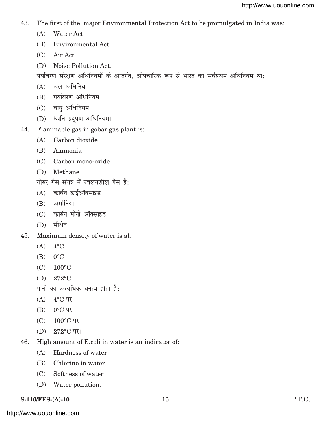- 43. The first of the major Environmental Protection Act to be promulgated in India was:
	- (A) Water Act
	- (B) Environmental Act
	- (C) Air Act
	- (D) Noise Pollution Act.
	- पर्यावरण संरक्षण अधिनियमों के अन्तर्गत, औपचारिक रूप से भारत का सर्वप्रथम अधिनियम था:
	- $(A)$  जल अधिनियम
	- (B) पर्यावरण अधिनियम
	- $(C)$  वायु अधिनियम
	- (D) ध्वनि प्रदुषण अधिनियम।
- 44. Flammable gas in gobar gas plant is:
	- (A) Carbon dioxide
	- (B) Ammonia
	- (C) Carbon mono-oxide
	- (D) Methane
	- गोबर गैस संयंत्र में ज्वलनशील गैस है:
	- $(A)$  कार्बन डाईऑक्साइड
	- $(B)$  अमोनिया
	- (C) कार्बन मोनो ऑक्साइड
	- $(D)$  मीथेन।
- 45. Maximum density of water is at:
	- $(A)$  4°C
	- $(B)$   $0^{\circ}$ C
	- (C) 100°C
	- (D) 272°C.
	- पानी का अत्यधिक घनत्व होता है:
	- $(A)$  4°C पर
	- $(B)$  0°C पर
	- $(C) 100^{\circ}$ C पर
	- $(D)$  272°C पर।
- 46. High amount of E.coli in water is an indicator of:
	- (A) Hardness of water
	- (B) Chlorine in water
	- (C) Softness of water
	- (D) Water pollution.
- **S-116/FES-(A)-10** 15 P.T.O.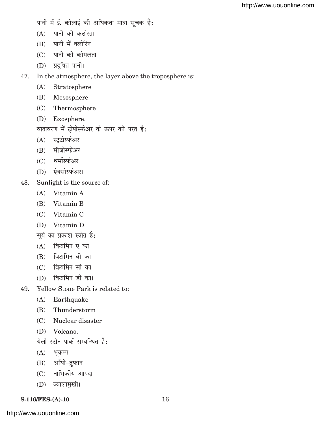- पानी में ई. कोलाई की अधिकता मात्रा सूचक है:
- $(A)$  पानी की कठोरता
- $(B)$  पानी में क्लोरिन
- $(C)$  पानी की कोमलता
- (D) प्रदूषित पानी।
- 47. In the atmosphere, the layer above the troposphere is:
	- (A) Stratosphere
	- (B) Mesosphere
	- (C) Thermosphere
	- (D) Exosphere.

वातावरण में ट्रोपोस्फेअर के ऊपर की परत है:

- (A) स्ट्टोस्फेअर
- (B) मीजोस्फेअर
- (C) थर्मोस्फेअर
- (D) ऐक्सोस्फेअर।
- 48. Sunlight is the source of:
	- (A) Vitamin A
	- (B) Vitamin B
	- (C) Vitamin C
	- (D) Vitamin D.
	- सूर्य का प्रकाश स्त्रोत है:
	- $(A)$  विटामिन एका
	- $(B)$  विटामिन बी का
	- $(C)$  विटामिन सी का
	- $(D)$  विटामिन डी का।
- 49. Yellow Stone Park is related to:
	- (A) Earthquake
	- (B) Thunderstorm
	- (C) Nuclear disaster
	- (D) Volcano.

येलो स्टोन पार्क सम्बन्धित है:

- $(A)$  भूकम्प
- (B) आँधी-तुफान
- (C) नाभिकीय आपदा
- (D) ज्वालामुखी।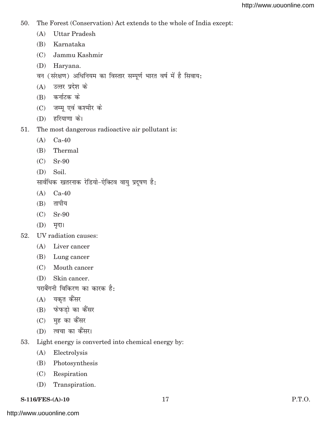- 50. The Forest (Conservation) Act extends to the whole of India except:
	- (A) Uttar Pradesh
	- (B) Karnataka
	- (C) Jammu Kashmir
	- (D) Haryana.
	- वन (संरक्षण) अधिनियम का विस्तार सम्पूर्ण भारत वर्ष में है सिवाय:
	- $(A)$  उत्तर प्रदेश के
	- $(B)$  कर्नाटक के
	- (C) जम्मू एवं कश्मीर के
	- (D) हरियाणा के।
- 51. The most dangerous radioactive air pollutant is:
	- (A) Ca-40
	- (B) Thermal
	- (C) Sr-90
	- (D) Soil.

सार्वधिक खतरनाक रेडियो-ऐक्टिव वायु प्रदूषण है:

- (A) Ca-40
- $(B)$  तापीय
- (C) Sr-90
- $(D)$  मृदा।
- 52. UV radiation causes:
	- (A) Liver cancer
	- (B) Lung cancer
	- (C) Mouth cancer
	- (D) Skin cancer.

पराबैंगनी विकिरण का कारक है:

- $(A)$  यकृत कैंसर
- (B) फेफडो का कैंसर
- $(C)$  मुह का कैंसर
- (D) त्वचा का कैंसर।
- 53. Light energy is converted into chemical energy by:
	- (A) Electrolysis
	- (B) Photosynthesis
	- (C) Respiration
	- (D) Transpiration.

**S-116/FES-(A)-10** 17 **P.T.O.**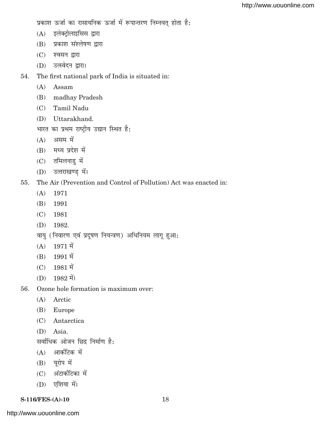प्रकाश ऊर्जा का रासायनिक ऊर्जा में रूपान्तरण निम्नवत् होता है:

- (A) इलेक्ट्रोलाइसिस द्वारा
- (B) प्रकाश संश्लेषण द्वारा
- (C) श्वसन द्वारा
- (D) उत्स्वेदन द्वारा।
- 54. The first national park of India is situated in:
	- (A) Assam
	- (B) madhay Pradesh
	- (C) Tamil Nadu
	- (D) Uttarakhand.
	- भारत का प्रथम राष्ट्रीय उद्यान स्थित है:
	- $(A)$  असम में
	- $(B)$  मध्य प्रदेश में
	- $(C)$  तमिलनाडु में
	- (D) उत्तराखण्ड में।
- 55. The Air (Prevention and Control of Pollution) Act was enacted in:
	- (A) 1971
	- (B) 1991
	- (C) 1981
	- (D) 1982.
	- वायु (निवारण एवं प्रदूषण नियन्त्रण) अधिनियम लागू हुआ:
	- $(A)$  1971 में
	- $(B)$  1991 में
	- $(C)$  1981 में
	- $(D)$  1982 में।
- 56. Ozone hole formation is maximum over:
	- (A) Arctic
	- (B) Europe
	- (C) Antarctica
	- (D) Asia.

सर्वाधिक ओजन छिद्र निर्माण है:

- $(A)$  आर्कटिक में
- $(B)$  यूरोप में
- $(C)$  अंटार्कटिका में
- $(D)$  एशिया में।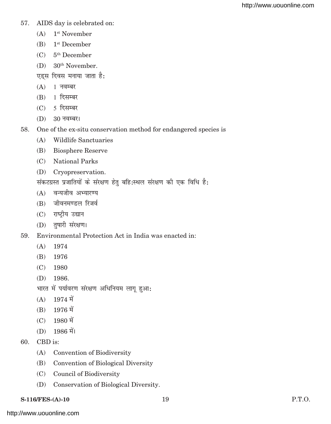- 57. AIDS day is celebrated on:
	- (A) 1st November
	- (B) 1st December
	- $(C)$  5<sup>th</sup> December
	- (D) 30th November.
	- एड्स दिवस मनाया जाता है:
	- $(A)$  1 नवम्बर
	- $(B)$  1 दिसम्बर
	- $(C)$  5 दिसम्बर
	- (D) 30 नवम्बर।
- 58. One of the ex-situ conservation method for endangered species is
	- (A) Wildlife Sanctuaries
	- (B) Biosphere Reserve
	- (C) National Parks
	- (D) Cryopreservation.

संकटग्रस्त प्रजातियों के संरक्षण हेतु बहि:स्थल संरक्षण की एक विधि है:

- (A) वन्यजीव अभ्यारण्य
- (B) जीवनमण्डल रिजर्व
- (C) राष्ट्रीय उद्यान
- (D) तुषारी संरक्षण।
- 59. Environmental Protection Act in India was enacted in:
	- (A) 1974
	- (B) 1976
	- (C) 1980
	- (D) 1986.

भारत में पर्यावरण संरक्षण अधिनियम लागू हुआ:

- $(A)$  1974  $\vec{H}$
- $(B)$  1976 में
- $(C)$  1980 में
- $(D)$  1986 में।
- 60. CBD is:
	- (A) Convention of Biodiversity
	- (B) Convention of Biological Diversity
	- (C) Council of Biodiversity
	- (D) Conservation of Biological Diversity.

#### **S-116/FES-(A)-10** 19 P.T.O.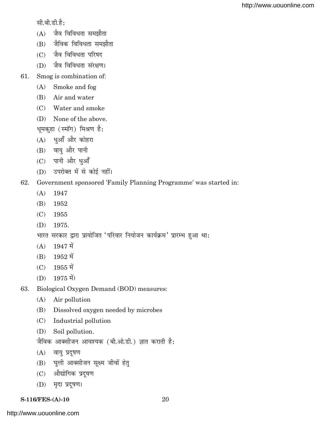सी.बी.डी.है $:$ 

- $(A)$  जैव विविधता समझौता
- $(B)$  जैविक विविधता समझौता
- $(C)$  जैव विविधता परिषद
- (D) जैव विविधता संरक्षण।
- 61. Smog is combination of:
	- (A) Smoke and fog
	- (B) Air and water
	- (C) Water and smoke
	- (D) None of the above.

धूमकुहा (स्मॉग) मिश्रण है:

- $(A)$  धुआँ और कोहरा
- $(B)$  वायु और पानी
- (C) पानी और धुआँ
- (D) उपरोक्त में से कोई नहीं।

# 62. Government sponsored 'Family Planning Programme' was started in:

- (A) 1947
- (B) 1952
- (C) 1955
- (D) 1975.

भारत सरकार द्वारा प्रायोजित 'परिवार नियोजन कार्यक्रम' प्रारम्भ हुआ था:

- $(A)$  1947 में
- $(B)$  1952 में
- $(C)$  1955 में
- $(D)$  1975 में।
- 63. Biological Oxygen Demand (BOD) measures:
	- (A) Air pollution
	- (B) Dissolved oxygen needed by microbes
	- (C) Industrial pollution
	- (D) Soil pollution.

जैविक आक्सीजन आवश्यक (बी.ओ.डी.) ज्ञात कराती है:

- $(A)$  वायु प्रदूषण
- (B) घुली आक्सीजन सूक्ष्म जीवों हेतु
- (C) औद्योगिक प्रदुषण
- (D) मृदा प्रदूषण।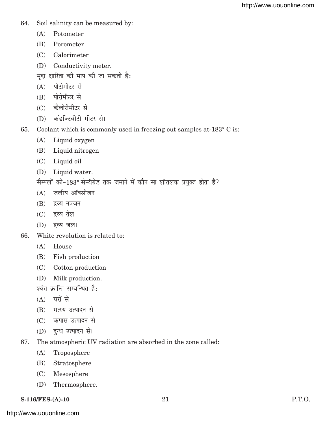- 64. Soil salinity can be measured by:
	- (A) Potometer
	- (B) Porometer
	- (C) Calorimeter
	- (D) Conductivity meter.
	- मदा क्षारिता की माप की जा सकती है:
	- $(A)$  पोटोमीटर से
	- (B) पोरोमीटर से
	- $(C)$  कैलोरीमीटर से
	- (D) कंडक्टिवीटी मीटर से।
- 65. Coolant which is commonly used in freezing out samples at-183° C is:
	- (A) Liquid oxygen
	- (B) Liquid nitrogen
	- (C) Liquid oil
	- (D) Liquid water.

सैम्पलों को-183° सेन्टीग्रेड तक जमाने में कौन सा शीतलक प्रयुक्त होता है?

- $(A)$  जलीय ऑक्सीजन
- $(B)$  द्रव्य नत्रजन
- $(C)$  द्रव्य तेल
- $(D)$  द्रव्य जल।
- 66. White revolution is related to:
	- (A) House
	- (B) Fish production
	- (C) Cotton production
	- (D) Milk production.

श्वेत क्रान्ति सम्बन्धित है:

- $(A)$  घरों से
- (B) मत्स्य उत्पादन से
- (C) कपास उत्पादन से
- (D) दुग्ध उत्पादन से।
- 67. The atmospheric UV radiation are absorbed in the zone called:
	- (A) Troposphere
	- (B) Stratosphere
	- (C) Mesosphere
	- (D) Thermosphere.

**S-116/FES-(A)-10** 21 P.T.O.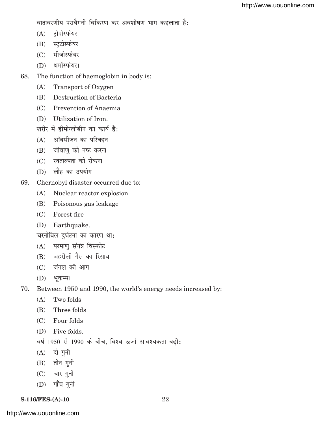वातावरणीय पराबैगनी विकिरण कर अवशोषण भाग कहलाता है:

- (A) ट्रोपोस्फेयर
- (B) स्ट्रटोस्फेयर
- $(C)$  मीजोस्फेयर
- (D) थर्मोस्फेयर।
- 68. The function of haemoglobin in body is:
	- (A) Transport of Oxygen
	- (B) Destruction of Bacteria
	- (C) Prevention of Anaemia
	- (D) Utilization of Iron.
	- शरीर में हीमोग्लोबीन का कार्य है:
	- $(A)$  ऑक्सीजन का परिवहन
	- (B) जीवाणु को नष्ट करना
	- (C) रक्ताल्पता को रोकना
	- $(D)$  लौह का उपयोग।
- 69. Chernobyl disaster occurred due to:
	- (A) Nuclear reactor explosion
	- (B) Poisonous gas leakage
	- (C) Forest fire
	- (D) Earthquake.

चरनोबिल दुर्घटना का कारण था:

- (A) परमाण संयंत्र विस्फोट
- $(B)$  जहरीली गैस का रिसाव
- $(C)$  जंगल की आग
- $(D)$  भकम्प।
- 70. Between 1950 and 1990, the world's energy needs increased by:
	- (A) Two folds
	- (B) Three folds
	- (C) Four folds
	- (D) Five folds.
	- वर्ष 1950 से 1990 के बीच, विश्व ऊर्जा आवश्यकता बढी:
	- $(A)$  दो गुनी
	- $(B)$  तीन गुनी
	- $(C)$  चार गुनी
	- $(D)$  पाँच गुनी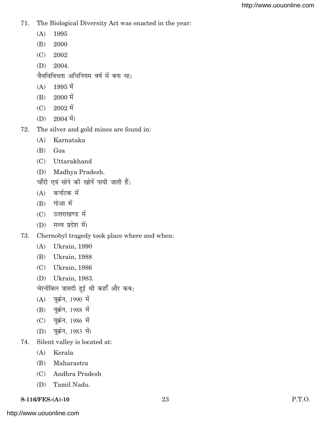- 71. The Biological Diversity Act was enacted in the year:
	- (A) 1995
	- (B) 2000
	- (C) 2002
	- (D) 2004.

जैवविविधता अधिनियम वर्ष में बना था:

- $(A)$  1995 में
- $(B)$  2000 में
- $(C)$  2002 में
- $(D)$  2004 में।
- 72. The silver and gold mines are found in:
	- (A) Karnataka
	- (B) Goa
	- (C) Uttarakhand
	- (D) Madhya Pradesh.

चाँदी एवं सोने की खोनें पायी जाती हैं:

- $(A)$  कर्नाटक में
- $(B)$  गोआ में
- (C) उत्तराखण्ड में
- (D) मध्य प्रदेश में।
- 73. Chernobyl tragedy took place where and when:
	- (A) Ukrain, 1990
	- (B) Ukrain, 1988
	- (C) Ukrain, 1986
	- (D) Ukrain, 1983.

चेरनोबिल त्रासदी हुई थी कहाँ और कब:

- $(A)$  यूक्रेन, 1990 में
- (B) यूक्रेन, 1988 में
- (C) यूक्रेन, 1986 में
- (D) यूक्रेन, 1983 में।
- 74. Silent valley is located at:
	- (A) Kerala
	- (B) Maharastra
	- (C) Andhra Pradesh
	- (D) Tamil Nadu.

#### **S-116/FES-(A)-10** 23 P.T.O.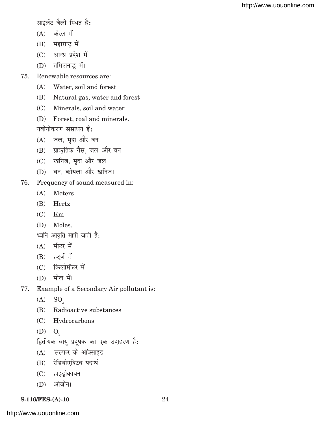साइलेंट वैली स्थित है:

- $(A)$  केरल में
- $(B)$  महाराष्ट्र में
- (C) आन्ध्र प्रदेश में
- $(D)$  तमिलनाडु में।
- 75. Renewable resources are:
	- (A) Water, soil and forest
	- (B) Natural gas, water and forest
	- (C) Minerals, soil and water
	- (D) Forest, coal and minerals.

नवीनीकरण संसाधन हैं:

- $(A)$  जल, मृदा और वन
- (B) प्राकृतिक गैस, जल और वन
- (C) खनिज, मृदा और जल
- (D) वन, कोयला और खनिज।
- 76. Frequency of sound measured in:
	- (A) Meters
	- (B) Hertz
	- $(C)$  Km
	- (D) Moles.

ध्वनि आवृति मापी जाती है:

- $(A)$  मीटर में
- $(B)$  हट्ज में
- $(C)$  किलोमीटर में
- $(D)$  मोल में।
- 77. Example of a Secondary Air pollutant is:
	- $(A)$  SO<sub>x</sub>
	- (B) Radioactive substances
	- (C) Hydrocarbons
	- $(D)$   $O_3$
	- द्वितीयक वायु प्रदूषक का एक उदाहरण है:
	- $(A)$  सल्फर के ऑक्साइड
	- (B) रेडियोएक्टिव पदार्थ
	- $(C)$  हाइड्रोकार्बन
	- $(D)$  ओजोन।
- **S-116/FES-(A)-10** 24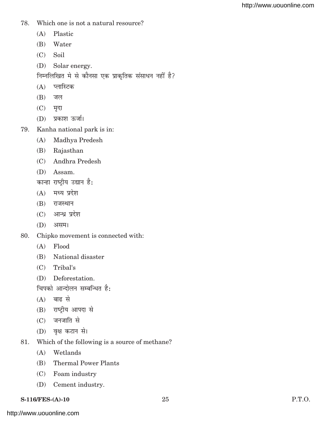- 78. Which one is not a natural resource?
	- (A) Plastic
	- (B) Water
	- (C) Soil
	- (D) Solar energy.
	- निम्नलिखित मे से कौनसा एक प्राकृतिक संसाधन नहीं है?
	- (A) प्लास्टिक
	- $(B)$  जल
	- $(C)$  मृदा
	- (D) प्रकाश ऊर्जा।
- 79. Kanha national park is in:
	- (A) Madhya Predesh
	- (B) Rajasthan
	- (C) Andhra Predesh
	- (D) Assam.

कान्हा राष्ट्रीय उद्यान है:

- $(A)$  मध्य प्रदेश
- $(B)$  राजस्थान
- $(C)$  आन्ध्र प्रदेश
- $(D)$  असम।
- 80. Chipko movement is connected with:
	- (A) Flood
	- (B) National disaster
	- (C) Tribal's
	- (D) Deforestation.

चिपको आन्दोलन सम्बन्धित है:

- $(A)$  बाढ से
- (B) राष्टीय आपदा से
- $(C)$  जनजाति से
- (D) वृक्ष कटान से।
- 81. Which of the following is a source of methane?
	- (A) Wetlands
	- (B) Thermal Power Plants
	- (C) Foam industry
	- (D) Cement industry.

**S-116/FES-(A)-10** 25 P.T.O.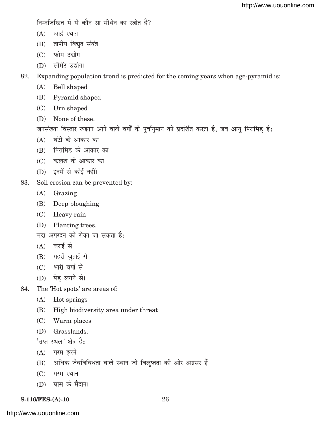निम्नजिखित में से कौन सा मीथेन का स्त्रोत है?

- $(A)$  आर्द्र स्थल
- $(B)$  तापीय विद्युत संयंत्र
- $(C)$  फोम उद्योग
- (D) सीमेंट उद्योग।

82. Expanding population trend is predicted for the coming years when age-pyramid is:

- (A) Bell shaped
- (B) Pyramid shaped
- (C) Urn shaped
- (D) None of these.

जनसंख्या विस्तार रूझान आने वाले वर्षों के पुर्वानुमान को प्रदर्शित करता है, जब आयु पिरामिड़ है:

- $(A)$  घंटी के आकार का
- (B) पिरामिड के आकार का
- (C) कलश के आकार का
- $(D)$  इनमें से कोई नहीं।
- 83. Soil erosion can be prevented by:
	- (A) Grazing
	- (B) Deep ploughing
	- (C) Heavy rain
	- (D) Planting trees.
	- मदा अपरदन को रोका जा सकता है:
	- $(A)$  चराई से
	- $(B)$  गहरी जुताई से
	- $(C)$  भारी वर्षा से
	- (D) पेड लगने से।
- 84. The 'Hot spots' are areas of:
	- (A) Hot springs
	- (B) High biodiversity area under threat
	- (C) Warm places
	- (D) Grasslands.

 $^{\prime}$ तप्त स्थल' क्षेत्र है:

- $(A)$  गरम झरने
- (B) अधिक जैवविविधता वाले स्थान जो विलुप्तता की ओर अग्रसर हैं
- $(C)$  गरम स्थान
- (D) घास के मैदान।
- **S-116/FES-(A)-10** 26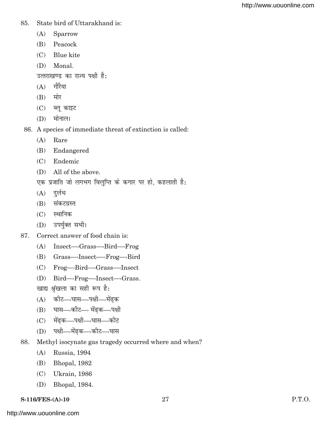- 85. State bird of Uttarakhand is:
	- (A) Sparrow
	- (B) Peacock
	- (C) Blue kite
	- (D) Monal.

उत्तराखण्ड का राज्य पक्षी है:

- $(A)$  गौरैया
- $(B)$  मोर
- $(C)$  ब्लू काइट
- $(D)$  मोनाल।
- 86. A species of immediate threat of extinction is called:
	- (A) Rare
	- (B) Endangered
	- (C) Endemic
	- (D) All of the above.
	- एक प्रजाति जो लगभग विलुप्ति के कगार पर हो, कहलाती है:
	- $(A)$  दुर्लभ
	- $(B)$  संकटग्रस्त
	- $(C)$  स्थानिक
	- (D) उपर्युक्त सभी।
- 87. Correct answer of food chain is:
	- (A) Insect—›Grass—›Bird—›Frog
	- (B) Grass—›Insect›—›Frog—›Bird
	- (C) Frog—›Bird—›Grass—›Insect
	- (D) Bird—›Frog—›Insect—›Grass.
	- खाद्य श्रृंखला का सही रूप है:
	- (A) कोट—›घास—›पक्षी—›मेंढक
	- (B) घास—>कीट—> मेंढक—>पक्षी
	- (C) मेंढक-->पक्षी-->घास-->कीट
	- (D) पक्षी-गेंढक-अकीट-अधास
- 88. Methyl isocynate gas tragedy occurred where and when?
	- (A) Russia, 1994
	- (B) Bhopal, 1982
	- (C) Ukrain, 1986
	- (D) Bhopal, 1984.

```
S-116/FES-(A)-10 27 P.T.O.
```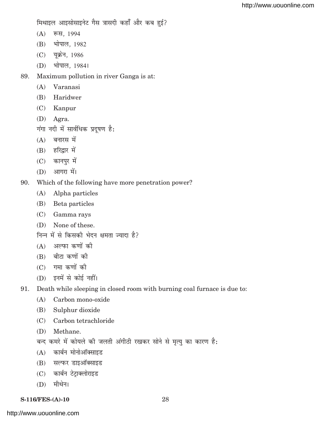मिथाइल आइसोसाइनेट गैस त्रासदी कहाँ और कब हुई?

- (A) रूस, 1994
- (B) भोपाल, 1982
- (C) यूक्रेन, 1986
- (D) भोपाल, 1984।
- 89. Maximum pollution in river Ganga is at:
	- (A) Varanasi
	- (B) Haridwer
	- (C) Kanpur
	- (D) Agra.
	- $\overline{v}$ गंगा नदी में सार्वधिक प्रदूषण है:
	- $(A)$  बनारस में
	- $(B)$  हरिद्वार में
	- (C) कानपुर में
	- $(D)$  आगरा में।
- 90. Which of the following have more penetration power?
	- (A) Alpha particles
	- (B) Beta particles
	- (C) Gamma rays
	- (D) None of these.
	- निन्न में से किसकी भेदन क्षमता ज्यादा है?
	- $(A)$  अल्फा कणों की
	- $(B)$  बीटा कणों की
	- $(C)$  गमा कणों की
	- $(D)$  इनमें से कोई नहीं।
- 91. Death while sleeping in closed room with burning coal furnace is due to:
	- (A) Carbon mono-oxide
	- (B) Sulphur dioxide
	- (C) Carbon tetrachloride
	- (D) Methane.
	- बन्द कमरे में कोयले की जलती अंगीठी रखकर सोने से मृत्यु का कारण है:
	- $(A)$  कार्बन मोनोऑक्साइड
	- (B) सल्फर डाइऑक्साइड
	- (C) कार्बन टेट्राक्लोराइड
	- $(D)$  मीथेन।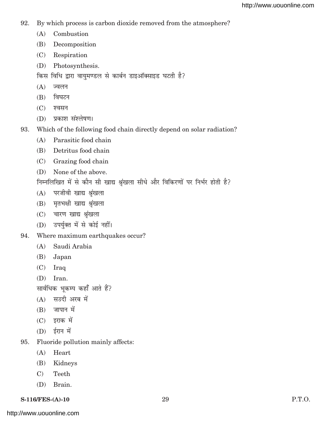- 92. By which process is carbon dioxide removed from the atmosphere?
	- (A) Combustion
	- (B) Decomposition
	- (C) Respiration
	- (D) Photosynthesis.
	- किस विधि द्वारा वायुमण्डल से कार्बन डाइऑक्साइड घटती है?
	- $(A)$  ज्वलन
	- $(B)$  विघटन
	- $(C)$  श्वसन
	- (D) प्रकाश संश्लेषण।
- 93. Which of the following food chain directly depend on solar radiation?
	- (A) Parasitic food chain
	- (B) Detritus food chain
	- (C) Grazing food chain
	- (D) None of the above.
	- निम्नलिखित में से कौन सी खाद्य श्रृंखला सीधे और विकिरणों पर निर्भर होती है?
	- $(A)$  परजीवी खाद्य श्रृंखला
	- $(B)$  मृतभक्षी खाद्य श्रृंखला
	- (C) चारण खाद्य श्रृंखला
	- (D) उपर्युक्त में से कोई नहीं।
- 94. Where maximum earthquakes occur?
	- (A) Saudi Arabia
	- (B) Japan
	- (C) Iraq
	- (D) Iran.

सार्वधिक भूकम्प कहाँ आते हैं?

- $(A)$  सउदी अरब में
- $(B)$  जापान में
- $(C)$  इराक में
- $(D)$  ईरान में
- 95. Fluoride pollution mainly affects:
	- (A) Heart
	- (B) Kidneys
	- C) Teeth
	- (D) Brain.
- **S-116/FES-(A)-10** 29 P.T.O.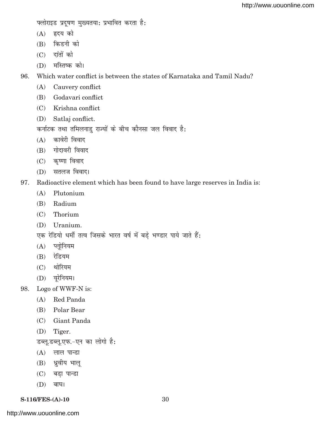फ्लोराइड प्रदूषण मुख्यतया: प्रभावित करता है:

- $(A)$  हृदय को
- $(B)$  किडनी को
- $(C)$  दांतों को
- $(D)$  मस्तिष्क को।

96. Which water conflict is between the states of Karnataka and Tamil Nadu?

- (A) Cauvery conflict
- (B) Godavari conflict
- (C) Krishna conflict
- (D) Satlaj conflict.

कर्नाटक तथा तमिलनाडु राज्यों के बीच कौनसा जल विवाद है:

- $(A)$  कावेरी विवाद
- $(B)$  गोदावरी विवाद
- $(C)$  कृष्णा विवाद
- (D) सतलज विवाद।
- 97. Radioactive element which has been found to have large reserves in India is:
	- (A) Plutonium
	- (B) Radium
	- (C) Thorium
	- (D) Uranium.
	- एक रेडियो धर्मी तत्व जिसके भारत वर्ष में बड़े भण्डार पाये जाते हैं:
	- $(A)$  प्लोनियम
	- $(B)$  रेडियम
	- (C) थोरियम
	- $(D)$  यूरेनियम।
- 98. Logo of WWF-N is:
	- (A) Red Panda
	- (B) Polar Bear
	- (C) Giant Panda
	- (D) Tiger.

डब्लू,डब्लू,एफ.-एन का लोगो है:

- $(A)$  लाल पान्डा
- (B) ध्रुवीय भालू
- $(C)$  बड़ा पान्डा
- $(D)$  बाघ।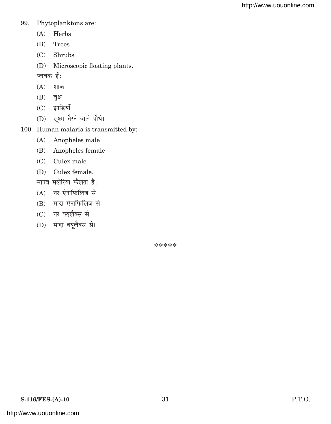#### 99. Phytoplanktons are:

- (A) Herbs
- (B) Trees
- (C) Shrubs
- (D) Microscopic floating plants.
- प्लवक $\dot{\vec{g}}$ :
- $(A)$  शाक
- $(B)$  वृक्ष
- $(C)$  झाडियाँ
- (D) सुक्ष्म तैरने वाले पौधे।
- 100. Human malaria is transmitted by:
	- (A) Anopheles male
	- (B) Anopheles female
	- (C) Culex male
	- (D) Culex female.
	- मानव मलेरिया फैलता है:
	- $(A)$  नर ऐनाफिलिज से
	- (B) मादा ऐनाफिलिज से
	- (C) नर क्यूलैक्स से
	- (D) मादा क्यूलैक्स से।

\*\*\*\*\*